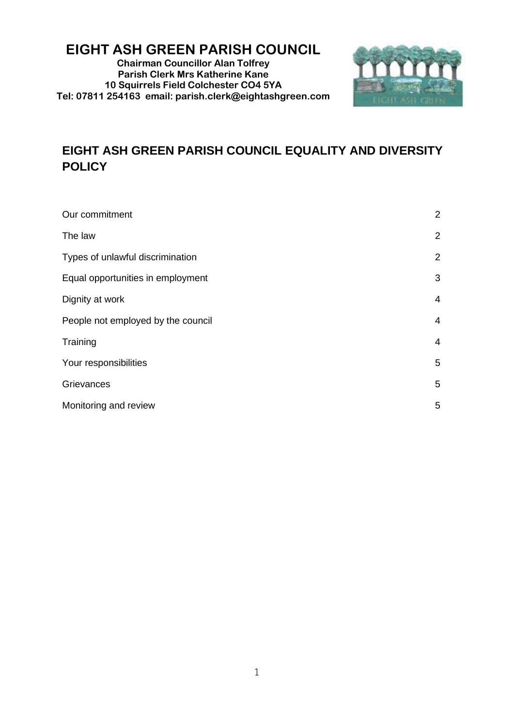# **EIGHT ASH GREEN PARISH COUNCIL**

**Chairman Councillor Alan Tolfrey Parish Clerk Mrs Katherine Kane 10 Squirrels Field Colchester CO4 5YA Tel: 07811 254163 email: parish.clerk@eightashgreen.com**



# **EIGHT ASH GREEN PARISH COUNCIL EQUALITY AND DIVERSITY POLICY**

| Our commitment                     | 2              |
|------------------------------------|----------------|
| The law                            | $\overline{2}$ |
| Types of unlawful discrimination   | $\overline{2}$ |
| Equal opportunities in employment  | 3              |
| Dignity at work                    | 4              |
| People not employed by the council | 4              |
| Training                           | 4              |
| Your responsibilities              | 5              |
| Grievances                         | 5              |
| Monitoring and review              | 5              |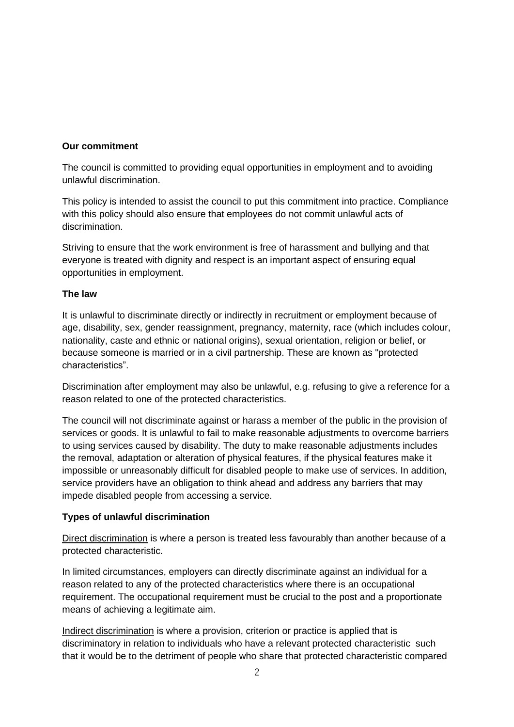# **Our commitment**

The council is committed to providing equal opportunities in employment and to avoiding unlawful discrimination.

This policy is intended to assist the council to put this commitment into practice. Compliance with this policy should also ensure that employees do not commit unlawful acts of discrimination.

Striving to ensure that the work environment is free of harassment and bullying and that everyone is treated with dignity and respect is an important aspect of ensuring equal opportunities in employment.

#### **The law**

It is unlawful to discriminate directly or indirectly in recruitment or employment because of age, disability, sex, gender reassignment, pregnancy, maternity, race (which includes colour, nationality, caste and ethnic or national origins), sexual orientation, religion or belief, or because someone is married or in a civil partnership. These are known as "protected characteristics".

Discrimination after employment may also be unlawful, e.g. refusing to give a reference for a reason related to one of the protected characteristics.

The council will not discriminate against or harass a member of the public in the provision of services or goods. It is unlawful to fail to make reasonable adjustments to overcome barriers to using services caused by disability. The duty to make reasonable adjustments includes the removal, adaptation or alteration of physical features, if the physical features make it impossible or unreasonably difficult for disabled people to make use of services. In addition, service providers have an obligation to think ahead and address any barriers that may impede disabled people from accessing a service.

# **Types of unlawful discrimination**

Direct discrimination is where a person is treated less favourably than another because of a protected characteristic.

In limited circumstances, employers can directly discriminate against an individual for a reason related to any of the protected characteristics where there is an occupational requirement. The occupational requirement must be crucial to the post and a proportionate means of achieving a legitimate aim.

Indirect discrimination is where a provision, criterion or practice is applied that is discriminatory in relation to individuals who have a relevant protected characteristic such that it would be to the detriment of people who share that protected characteristic compared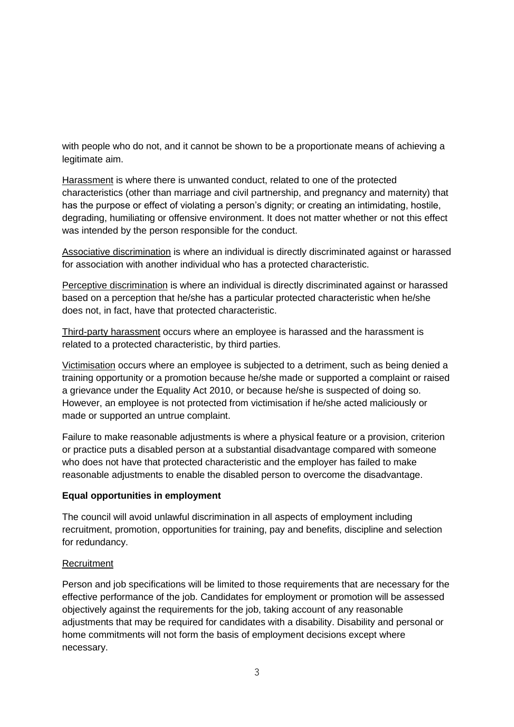with people who do not, and it cannot be shown to be a proportionate means of achieving a legitimate aim.

Harassment is where there is unwanted conduct, related to one of the protected characteristics (other than marriage and civil partnership, and pregnancy and maternity) that has the purpose or effect of violating a person's dignity; or creating an intimidating, hostile, degrading, humiliating or offensive environment. It does not matter whether or not this effect was intended by the person responsible for the conduct.

Associative discrimination is where an individual is directly discriminated against or harassed for association with another individual who has a protected characteristic.

Perceptive discrimination is where an individual is directly discriminated against or harassed based on a perception that he/she has a particular protected characteristic when he/she does not, in fact, have that protected characteristic.

Third-party harassment occurs where an employee is harassed and the harassment is related to a protected characteristic, by third parties.

Victimisation occurs where an employee is subjected to a detriment, such as being denied a training opportunity or a promotion because he/she made or supported a complaint or raised a grievance under the Equality Act 2010, or because he/she is suspected of doing so. However, an employee is not protected from victimisation if he/she acted maliciously or made or supported an untrue complaint.

Failure to make reasonable adjustments is where a physical feature or a provision, criterion or practice puts a disabled person at a substantial disadvantage compared with someone who does not have that protected characteristic and the employer has failed to make reasonable adjustments to enable the disabled person to overcome the disadvantage.

#### **Equal opportunities in employment**

The council will avoid unlawful discrimination in all aspects of employment including recruitment, promotion, opportunities for training, pay and benefits, discipline and selection for redundancy.

#### **Recruitment**

Person and job specifications will be limited to those requirements that are necessary for the effective performance of the job. Candidates for employment or promotion will be assessed objectively against the requirements for the job, taking account of any reasonable adjustments that may be required for candidates with a disability. Disability and personal or home commitments will not form the basis of employment decisions except where necessary.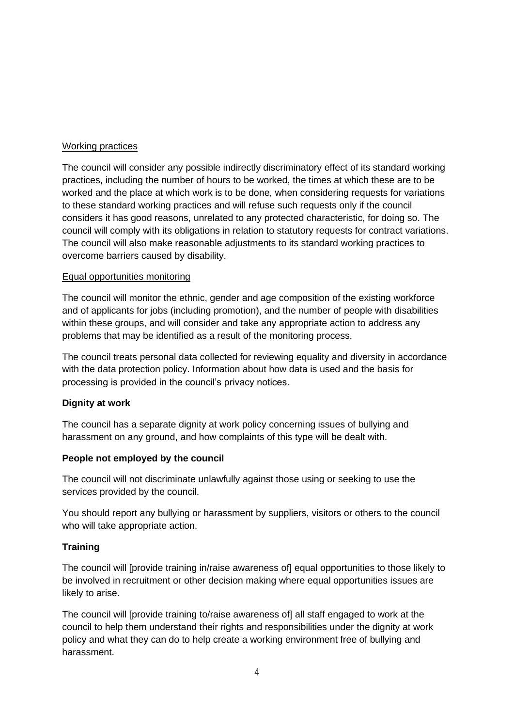## Working practices

The council will consider any possible indirectly discriminatory effect of its standard working practices, including the number of hours to be worked, the times at which these are to be worked and the place at which work is to be done, when considering requests for variations to these standard working practices and will refuse such requests only if the council considers it has good reasons, unrelated to any protected characteristic, for doing so. The council will comply with its obligations in relation to statutory requests for contract variations. The council will also make reasonable adjustments to its standard working practices to overcome barriers caused by disability.

#### Equal opportunities monitoring

The council will monitor the ethnic, gender and age composition of the existing workforce and of applicants for jobs (including promotion), and the number of people with disabilities within these groups, and will consider and take any appropriate action to address any problems that may be identified as a result of the monitoring process.

The council treats personal data collected for reviewing equality and diversity in accordance with the data protection policy. Information about how data is used and the basis for processing is provided in the council's privacy notices.

# **Dignity at work**

The council has a separate dignity at work policy concerning issues of bullying and harassment on any ground, and how complaints of this type will be dealt with.

# **People not employed by the council**

The council will not discriminate unlawfully against those using or seeking to use the services provided by the council.

You should report any bullying or harassment by suppliers, visitors or others to the council who will take appropriate action.

# **Training**

The council will [provide training in/raise awareness of] equal opportunities to those likely to be involved in recruitment or other decision making where equal opportunities issues are likely to arise.

The council will [provide training to/raise awareness of] all staff engaged to work at the council to help them understand their rights and responsibilities under the dignity at work policy and what they can do to help create a working environment free of bullying and harassment.